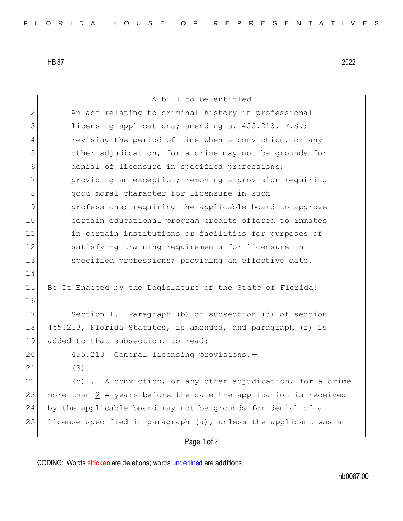HB 87 2022

Page 1 of 2 1 A bill to be entitled 2 An act relating to criminal history in professional 3 licensing applications; amending s. 455.213, F.S.; 4 revising the period of time when a conviction, or any 5 other adjudication, for a crime may not be grounds for 6 denial of licensure in specified professions; 7 providing an exception; removing a provision requiring 8 good moral character for licensure in such 9 professions; requiring the applicable board to approve 10 certain educational program credits offered to inmates 11 in certain institutions or facilities for purposes of 12 satisfying training requirements for licensure in 13 Specified professions; providing an effective date. 14 15 Be It Enacted by the Legislature of the State of Florida: 16 17 Section 1. Paragraph (b) of subsection (3) of section 18 455.213, Florida Statutes, is amended, and paragraph (f) is 19 added to that subsection, to read: 20 455.213 General licensing provisions.-21 (3) 22 (b)  $\pm$ . A conviction, or any other adjudication, for a crime 23 more than 2 5 years before the date the application is received 24 by the applicable board may not be grounds for denial of a 25 license specified in paragraph  $(a)$ , unless the applicant was an

CODING: Words stricken are deletions; words underlined are additions.